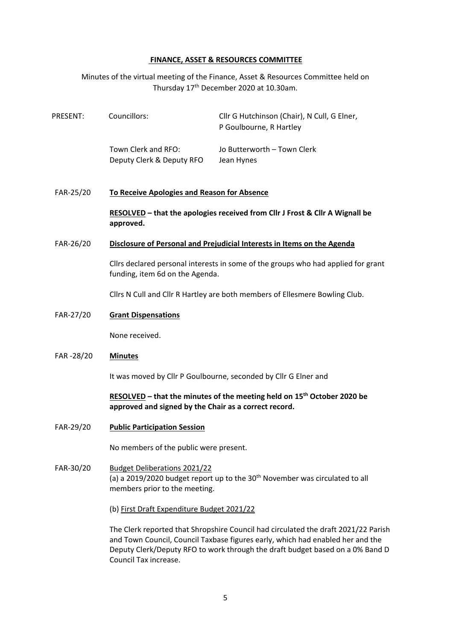## **FINANCE, ASSET & RESOURCES COMMITTEE**

Minutes of the virtual meeting of the Finance, Asset & Resources Committee held on Thursday 17<sup>th</sup> December 2020 at 10.30am.

| PRESENT: | Councillors:                                     | Cllr G Hutchinson (Chair), N Cull, G Elner,<br>P Goulbourne, R Hartley |
|----------|--------------------------------------------------|------------------------------------------------------------------------|
|          | Town Clerk and RFO:<br>Deputy Clerk & Deputy RFO | Jo Butterworth – Town Clerk<br>Jean Hynes                              |

FAR-25/20 **To Receive Apologies and Reason for Absence**

**RESOLVED – that the apologies received from Cllr J Frost & Cllr A Wignall be approved.**

## FAR-26/20 **Disclosure of Personal and Prejudicial Interests in Items on the Agenda**

Cllrs declared personal interests in some of the groups who had applied for grant funding, item 6d on the Agenda.

Cllrs N Cull and Cllr R Hartley are both members of Ellesmere Bowling Club.

## FAR-27/20 **Grant Dispensations**

None received.

#### FAR -28/20 **Minutes**

It was moved by Cllr P Goulbourne, seconded by Cllr G Elner and

# **RESOLVED – that the minutes of the meeting held on 15th October 2020 be approved and signed by the Chair as a correct record.**

FAR-29/20 **Public Participation Session**

No members of the public were present.

# FAR-30/20 Budget Deliberations 2021/22 (a) a 2019/2020 budget report up to the  $30<sup>th</sup>$  November was circulated to all members prior to the meeting.

(b) First Draft Expenditure Budget 2021/22

The Clerk reported that Shropshire Council had circulated the draft 2021/22 Parish and Town Council, Council Taxbase figures early, which had enabled her and the Deputy Clerk/Deputy RFO to work through the draft budget based on a 0% Band D Council Tax increase.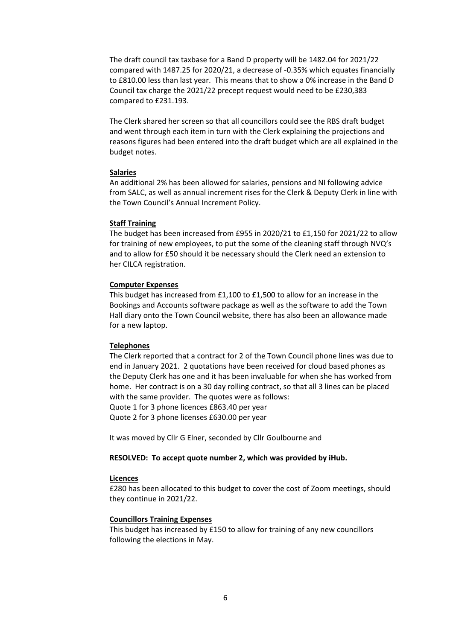The draft council tax taxbase for a Band D property will be 1482.04 for 2021/22 compared with 1487.25 for 2020/21, a decrease of -0.35% which equates financially to £810.00 less than last year. This means that to show a 0% increase in the Band D Council tax charge the 2021/22 precept request would need to be £230,383 compared to £231.193.

The Clerk shared her screen so that all councillors could see the RBS draft budget and went through each item in turn with the Clerk explaining the projections and reasons figures had been entered into the draft budget which are all explained in the budget notes.

#### **Salaries**

An additional 2% has been allowed for salaries, pensions and NI following advice from SALC, as well as annual increment rises for the Clerk & Deputy Clerk in line with the Town Council's Annual Increment Policy.

#### **Staff Training**

The budget has been increased from £955 in 2020/21 to £1,150 for 2021/22 to allow for training of new employees, to put the some of the cleaning staff through NVQ's and to allow for £50 should it be necessary should the Clerk need an extension to her CILCA registration.

#### **Computer Expenses**

This budget has increased from £1,100 to £1,500 to allow for an increase in the Bookings and Accounts software package as well as the software to add the Town Hall diary onto the Town Council website, there has also been an allowance made for a new laptop.

#### **Telephones**

The Clerk reported that a contract for 2 of the Town Council phone lines was due to end in January 2021. 2 quotations have been received for cloud based phones as the Deputy Clerk has one and it has been invaluable for when she has worked from home. Her contract is on a 30 day rolling contract, so that all 3 lines can be placed with the same provider. The quotes were as follows: Quote 1 for 3 phone licences £863.40 per year Quote 2 for 3 phone licenses £630.00 per year

It was moved by Cllr G Elner, seconded by Cllr Goulbourne and

#### **RESOLVED: To accept quote number 2, which was provided by iHub.**

#### **Licences**

£280 has been allocated to this budget to cover the cost of Zoom meetings, should they continue in 2021/22.

#### **Councillors Training Expenses**

This budget has increased by £150 to allow for training of any new councillors following the elections in May.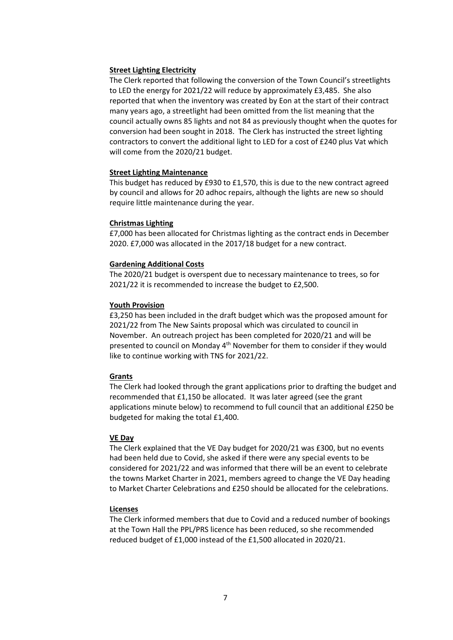## **Street Lighting Electricity**

The Clerk reported that following the conversion of the Town Council's streetlights to LED the energy for 2021/22 will reduce by approximately £3,485. She also reported that when the inventory was created by Eon at the start of their contract many years ago, a streetlight had been omitted from the list meaning that the council actually owns 85 lights and not 84 as previously thought when the quotes for conversion had been sought in 2018. The Clerk has instructed the street lighting contractors to convert the additional light to LED for a cost of £240 plus Vat which will come from the 2020/21 budget.

## **Street Lighting Maintenance**

This budget has reduced by £930 to £1,570, this is due to the new contract agreed by council and allows for 20 adhoc repairs, although the lights are new so should require little maintenance during the year.

## **Christmas Lighting**

£7,000 has been allocated for Christmas lighting as the contract ends in December 2020. £7,000 was allocated in the 2017/18 budget for a new contract.

## **Gardening Additional Costs**

The 2020/21 budget is overspent due to necessary maintenance to trees, so for 2021/22 it is recommended to increase the budget to £2,500.

## **Youth Provision**

£3,250 has been included in the draft budget which was the proposed amount for 2021/22 from The New Saints proposal which was circulated to council in November. An outreach project has been completed for 2020/21 and will be presented to council on Monday  $4<sup>th</sup>$  November for them to consider if they would like to continue working with TNS for 2021/22.

#### **Grants**

The Clerk had looked through the grant applications prior to drafting the budget and recommended that £1,150 be allocated. It was later agreed (see the grant applications minute below) to recommend to full council that an additional £250 be budgeted for making the total £1,400.

#### **VE Day**

The Clerk explained that the VE Day budget for 2020/21 was £300, but no events had been held due to Covid, she asked if there were any special events to be considered for 2021/22 and was informed that there will be an event to celebrate the towns Market Charter in 2021, members agreed to change the VE Day heading to Market Charter Celebrations and £250 should be allocated for the celebrations.

#### **Licenses**

The Clerk informed members that due to Covid and a reduced number of bookings at the Town Hall the PPL/PRS licence has been reduced, so she recommended reduced budget of £1,000 instead of the £1,500 allocated in 2020/21.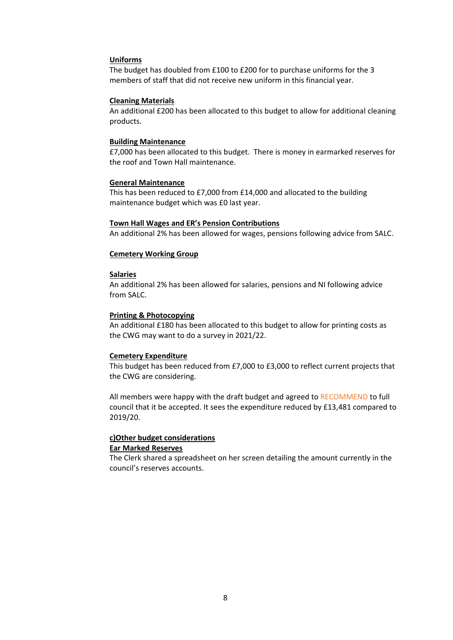## **Uniforms**

The budget has doubled from £100 to £200 for to purchase uniforms for the 3 members of staff that did not receive new uniform in this financial year.

#### **Cleaning Materials**

An additional £200 has been allocated to this budget to allow for additional cleaning products.

#### **Building Maintenance**

£7,000 has been allocated to this budget. There is money in earmarked reserves for the roof and Town Hall maintenance.

## **General Maintenance**

This has been reduced to £7,000 from £14,000 and allocated to the building maintenance budget which was £0 last year.

#### **Town Hall Wages and ER's Pension Contributions**

An additional 2% has been allowed for wages, pensions following advice from SALC.

#### **Cemetery Working Group**

#### **Salaries**

An additional 2% has been allowed for salaries, pensions and NI following advice from SALC.

#### **Printing & Photocopying**

An additional £180 has been allocated to this budget to allow for printing costs as the CWG may want to do a survey in 2021/22.

#### **Cemetery Expenditure**

This budget has been reduced from £7,000 to £3,000 to reflect current projects that the CWG are considering.

All members were happy with the draft budget and agreed to RECOMMEND to full council that it be accepted. It sees the expenditure reduced by £13,481 compared to 2019/20.

## **c)Other budget considerations Ear Marked Reserves**

The Clerk shared a spreadsheet on her screen detailing the amount currently in the council's reserves accounts.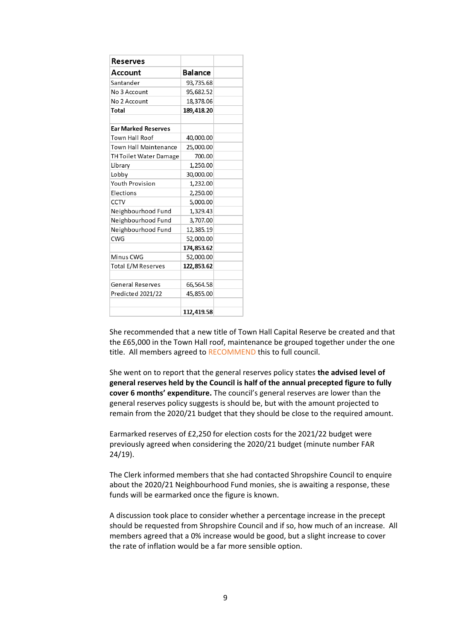| Reserves                     |                |  |
|------------------------------|----------------|--|
| Account                      | <b>Balance</b> |  |
| Santander                    | 93,735.68      |  |
| No 3 Account                 | 95,682.52      |  |
| No 2 Account                 | 18,378.06      |  |
| <b>Total</b>                 | 189,418.20     |  |
|                              |                |  |
| <b>Ear Marked Reserves</b>   |                |  |
| <b>Town Hall Roof</b>        | 40,000.00      |  |
| <b>Town Hall Maintenance</b> | 25,000.00      |  |
| TH Toilet Water Damage       | 700.00         |  |
| Library                      | 1,250.00       |  |
| Lobby                        | 30,000.00      |  |
| <b>Youth Provision</b>       | 1,232.00       |  |
| Elections                    | 2,250.00       |  |
| <b>CCTV</b>                  | 5,000.00       |  |
| Neighbourhood Fund           | 1,329.43       |  |
| Neighbourhood Fund           | 3,707.00       |  |
| Neighbourhood Fund           | 12,385.19      |  |
| <b>CWG</b>                   | 52,000.00      |  |
|                              | 174,853.62     |  |
| Minus CWG                    | 52,000.00      |  |
| <b>Total E/M Reserves</b>    | 122,853.62     |  |
|                              |                |  |
| General Reserves             | 66,564.58      |  |
| Predicted 2021/22            | 45,855.00      |  |
|                              |                |  |
|                              | 112,419.58     |  |

She recommended that a new title of Town Hall Capital Reserve be created and that the £65,000 in the Town Hall roof, maintenance be grouped together under the one title. All members agreed to RECOMMEND this to full council.

She went on to report that the general reserves policy states **the advised level of general reserves held by the Council is half of the annual precepted figure to fully cover 6 months' expenditure.** The council's general reserves are lower than the general reserves policy suggests is should be, but with the amount projected to remain from the 2020/21 budget that they should be close to the required amount.

Earmarked reserves of £2,250 for election costs for the 2021/22 budget were previously agreed when considering the 2020/21 budget (minute number FAR 24/19).

The Clerk informed members that she had contacted Shropshire Council to enquire about the 2020/21 Neighbourhood Fund monies, she is awaiting a response, these funds will be earmarked once the figure is known.

A discussion took place to consider whether a percentage increase in the precept should be requested from Shropshire Council and if so, how much of an increase. All members agreed that a 0% increase would be good, but a slight increase to cover the rate of inflation would be a far more sensible option.